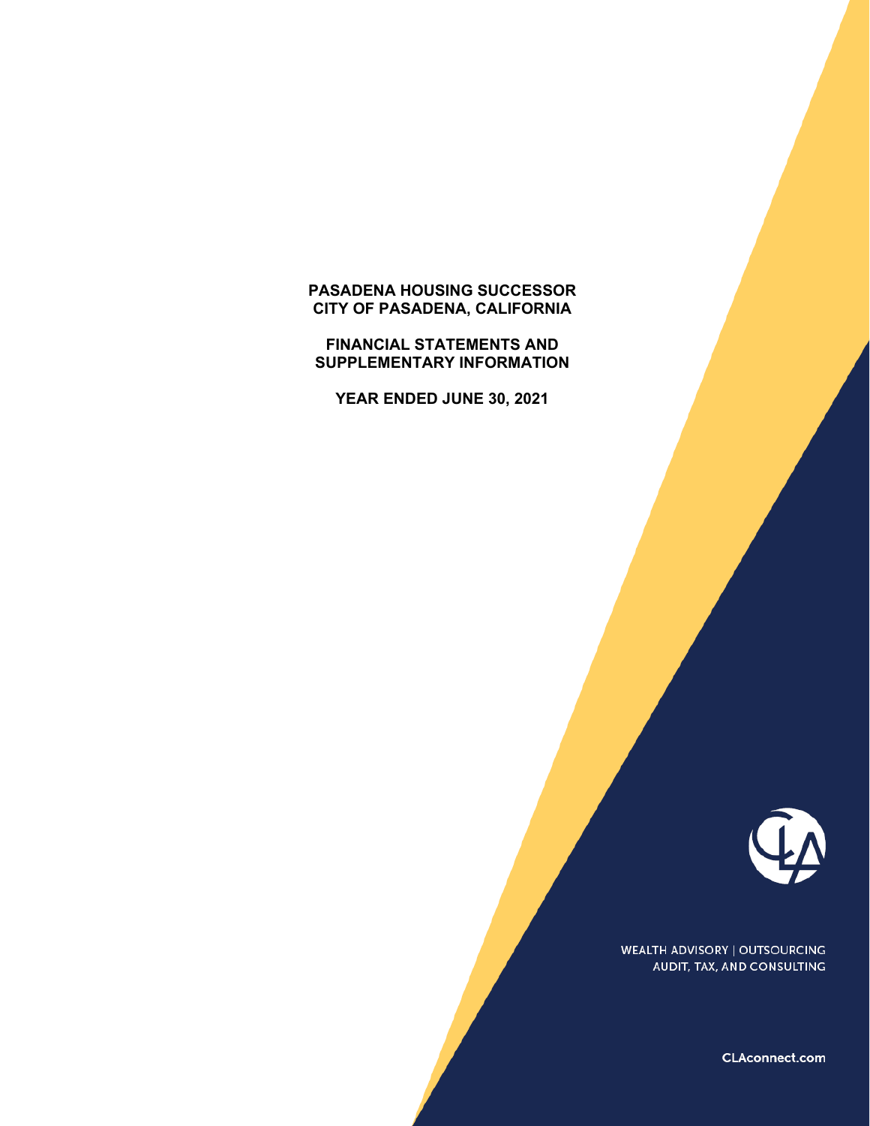# **PASADENA HOUSING SUCCESSOR CITY OF PASADENA, CALIFORNIA**

**FINANCIAL STATEMENTS AND SUPPLEMENTARY INFORMATION** 

**YEAR ENDED JUNE 30, 2021** 



**WEALTH ADVISORY | OUTSOURCING** AUDIT, TAX, AND CONSULTING

CLAconnect.com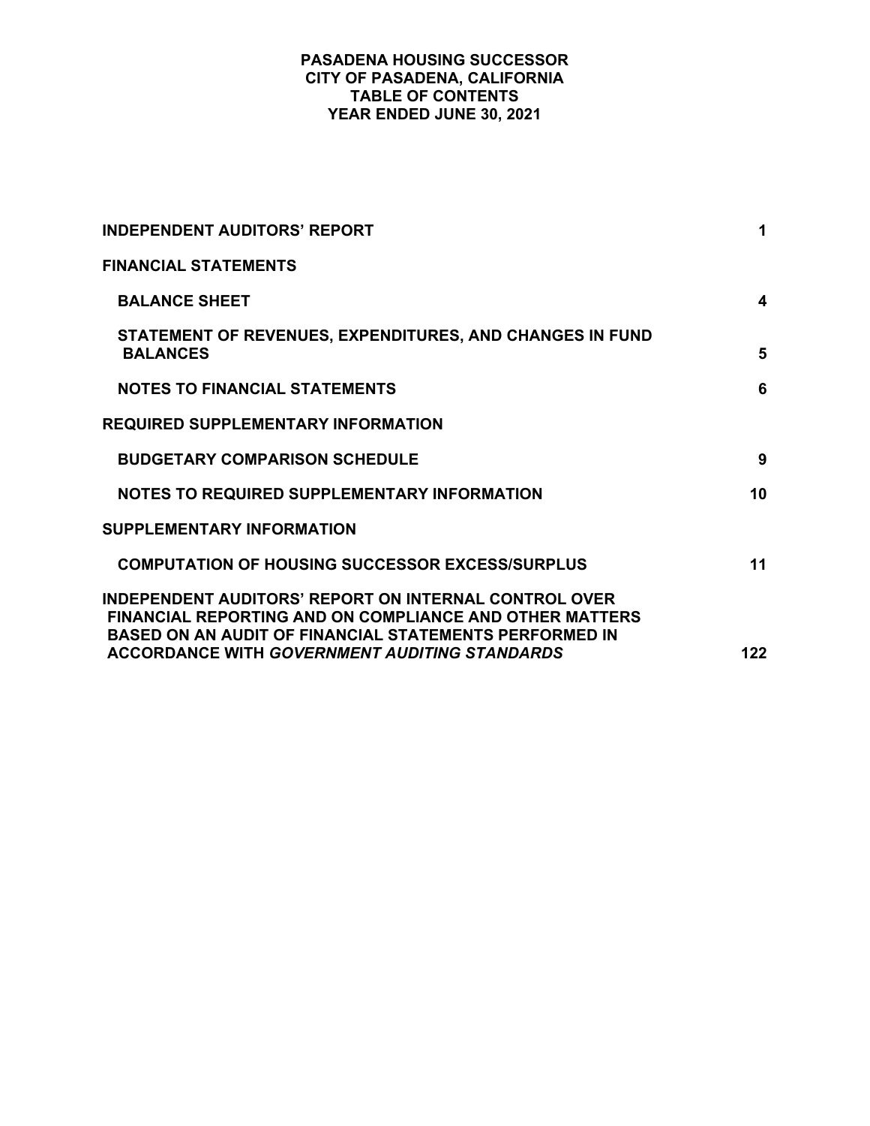## **PASADENA HOUSING SUCCESSOR CITY OF PASADENA, CALIFORNIA TABLE OF CONTENTS YEAR ENDED JUNE 30, 2021**

| <b>INDEPENDENT AUDITORS' REPORT</b>                                                                                                                                                                                                              | 1   |
|--------------------------------------------------------------------------------------------------------------------------------------------------------------------------------------------------------------------------------------------------|-----|
| <b>FINANCIAL STATEMENTS</b>                                                                                                                                                                                                                      |     |
| <b>BALANCE SHEET</b>                                                                                                                                                                                                                             | 4   |
| STATEMENT OF REVENUES, EXPENDITURES, AND CHANGES IN FUND<br><b>BALANCES</b>                                                                                                                                                                      | 5   |
| <b>NOTES TO FINANCIAL STATEMENTS</b>                                                                                                                                                                                                             | 6   |
| <b>REQUIRED SUPPLEMENTARY INFORMATION</b>                                                                                                                                                                                                        |     |
| <b>BUDGETARY COMPARISON SCHEDULE</b>                                                                                                                                                                                                             | 9   |
| NOTES TO REQUIRED SUPPLEMENTARY INFORMATION                                                                                                                                                                                                      | 10  |
| <b>SUPPLEMENTARY INFORMATION</b>                                                                                                                                                                                                                 |     |
| <b>COMPUTATION OF HOUSING SUCCESSOR EXCESS/SURPLUS</b>                                                                                                                                                                                           | 11  |
| <b>INDEPENDENT AUDITORS' REPORT ON INTERNAL CONTROL OVER</b><br><b>FINANCIAL REPORTING AND ON COMPLIANCE AND OTHER MATTERS</b><br><b>BASED ON AN AUDIT OF FINANCIAL STATEMENTS PERFORMED IN</b><br>ACCORDANCE WITH GOVERNMENT AUDITING STANDARDS | 122 |
|                                                                                                                                                                                                                                                  |     |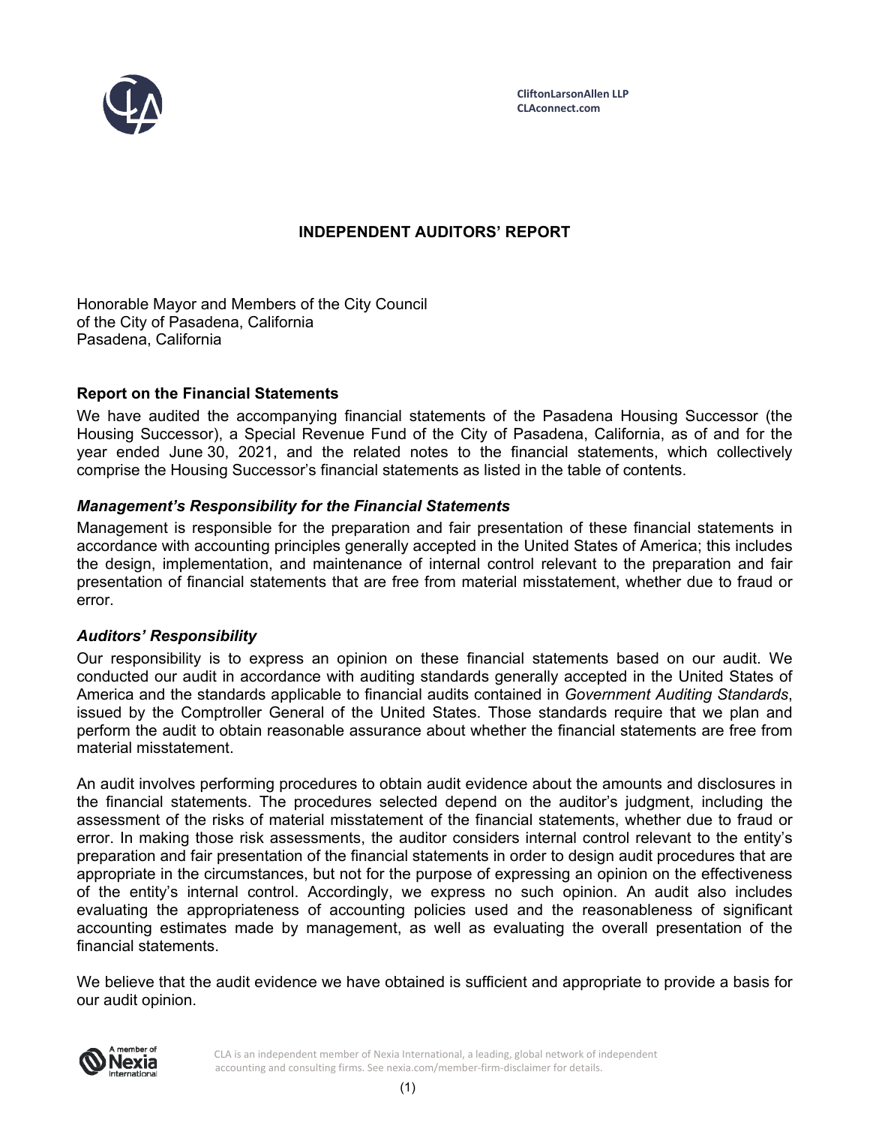

**CliftonLarsonAllen LLP CLAconnect.com**

# **INDEPENDENT AUDITORS' REPORT**

Honorable Mayor and Members of the City Council of the City of Pasadena, California Pasadena, California

# **Report on the Financial Statements**

We have audited the accompanying financial statements of the Pasadena Housing Successor (the Housing Successor), a Special Revenue Fund of the City of Pasadena, California, as of and for the year ended June 30, 2021, and the related notes to the financial statements, which collectively comprise the Housing Successor's financial statements as listed in the table of contents.

## *Management's Responsibility for the Financial Statements*

Management is responsible for the preparation and fair presentation of these financial statements in accordance with accounting principles generally accepted in the United States of America; this includes the design, implementation, and maintenance of internal control relevant to the preparation and fair presentation of financial statements that are free from material misstatement, whether due to fraud or error.

#### *Auditors' Responsibility*

Our responsibility is to express an opinion on these financial statements based on our audit. We conducted our audit in accordance with auditing standards generally accepted in the United States of America and the standards applicable to financial audits contained in *Government Auditing Standards*, issued by the Comptroller General of the United States. Those standards require that we plan and perform the audit to obtain reasonable assurance about whether the financial statements are free from material misstatement.

An audit involves performing procedures to obtain audit evidence about the amounts and disclosures in the financial statements. The procedures selected depend on the auditor's judgment, including the assessment of the risks of material misstatement of the financial statements, whether due to fraud or error. In making those risk assessments, the auditor considers internal control relevant to the entity's preparation and fair presentation of the financial statements in order to design audit procedures that are appropriate in the circumstances, but not for the purpose of expressing an opinion on the effectiveness of the entity's internal control. Accordingly, we express no such opinion. An audit also includes evaluating the appropriateness of accounting policies used and the reasonableness of significant accounting estimates made by management, as well as evaluating the overall presentation of the financial statements.

We believe that the audit evidence we have obtained is sufficient and appropriate to provide a basis for our audit opinion.



CLA is an independent member of Nexia International, a leading, global network of independent accounting and consulting firms. See nexia.com/member-firm-disclaimer for details.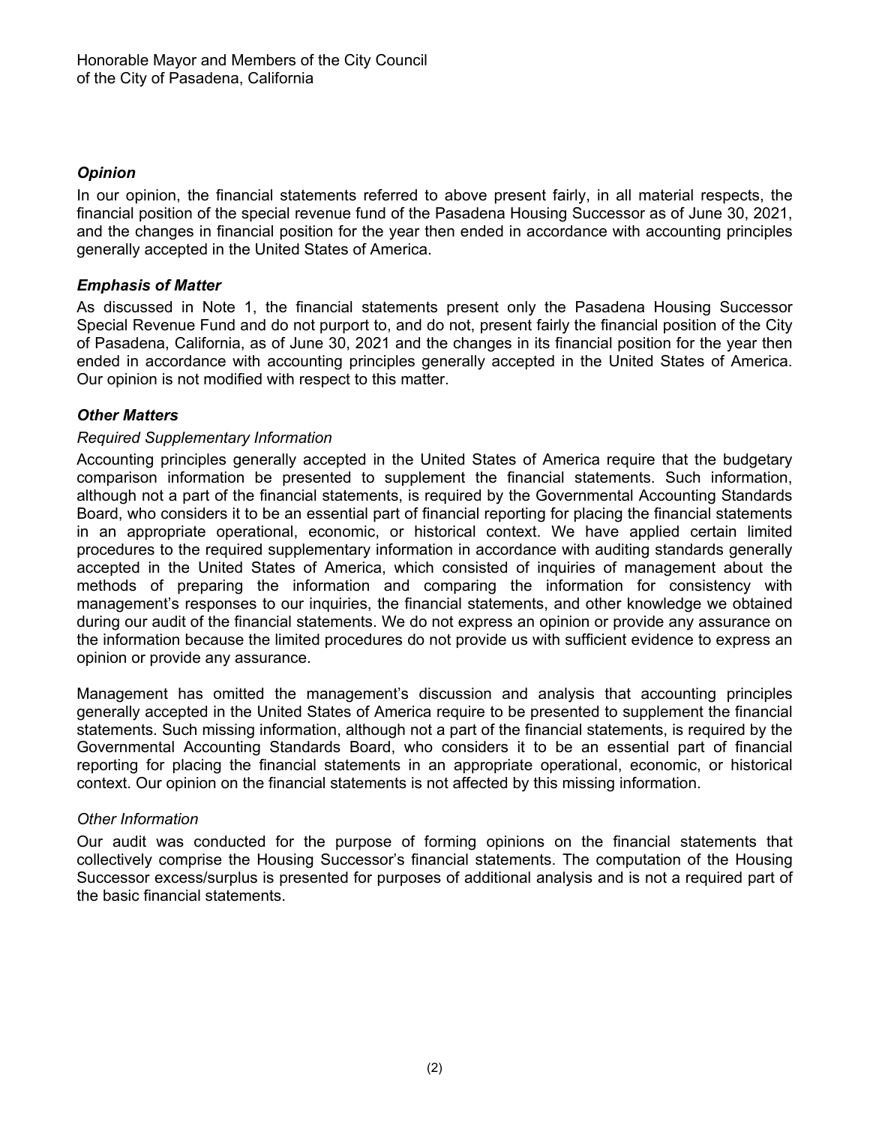# *Opinion*

In our opinion, the financial statements referred to above present fairly, in all material respects, the financial position of the special revenue fund of the Pasadena Housing Successor as of June 30, 2021, and the changes in financial position for the year then ended in accordance with accounting principles generally accepted in the United States of America.

# *Emphasis of Matter*

As discussed in Note 1, the financial statements present only the Pasadena Housing Successor Special Revenue Fund and do not purport to, and do not, present fairly the financial position of the City of Pasadena, California, as of June 30, 2021 and the changes in its financial position for the year then ended in accordance with accounting principles generally accepted in the United States of America. Our opinion is not modified with respect to this matter.

# *Other Matters*

# *Required Supplementary Information*

Accounting principles generally accepted in the United States of America require that the budgetary comparison information be presented to supplement the financial statements. Such information, although not a part of the financial statements, is required by the Governmental Accounting Standards Board, who considers it to be an essential part of financial reporting for placing the financial statements in an appropriate operational, economic, or historical context. We have applied certain limited procedures to the required supplementary information in accordance with auditing standards generally accepted in the United States of America, which consisted of inquiries of management about the methods of preparing the information and comparing the information for consistency with management's responses to our inquiries, the financial statements, and other knowledge we obtained during our audit of the financial statements. We do not express an opinion or provide any assurance on the information because the limited procedures do not provide us with sufficient evidence to express an opinion or provide any assurance.

Management has omitted the management's discussion and analysis that accounting principles generally accepted in the United States of America require to be presented to supplement the financial statements. Such missing information, although not a part of the financial statements, is required by the Governmental Accounting Standards Board, who considers it to be an essential part of financial reporting for placing the financial statements in an appropriate operational, economic, or historical context. Our opinion on the financial statements is not affected by this missing information.

# *Other Information*

Our audit was conducted for the purpose of forming opinions on the financial statements that collectively comprise the Housing Successor's financial statements. The computation of the Housing Successor excess/surplus is presented for purposes of additional analysis and is not a required part of the basic financial statements.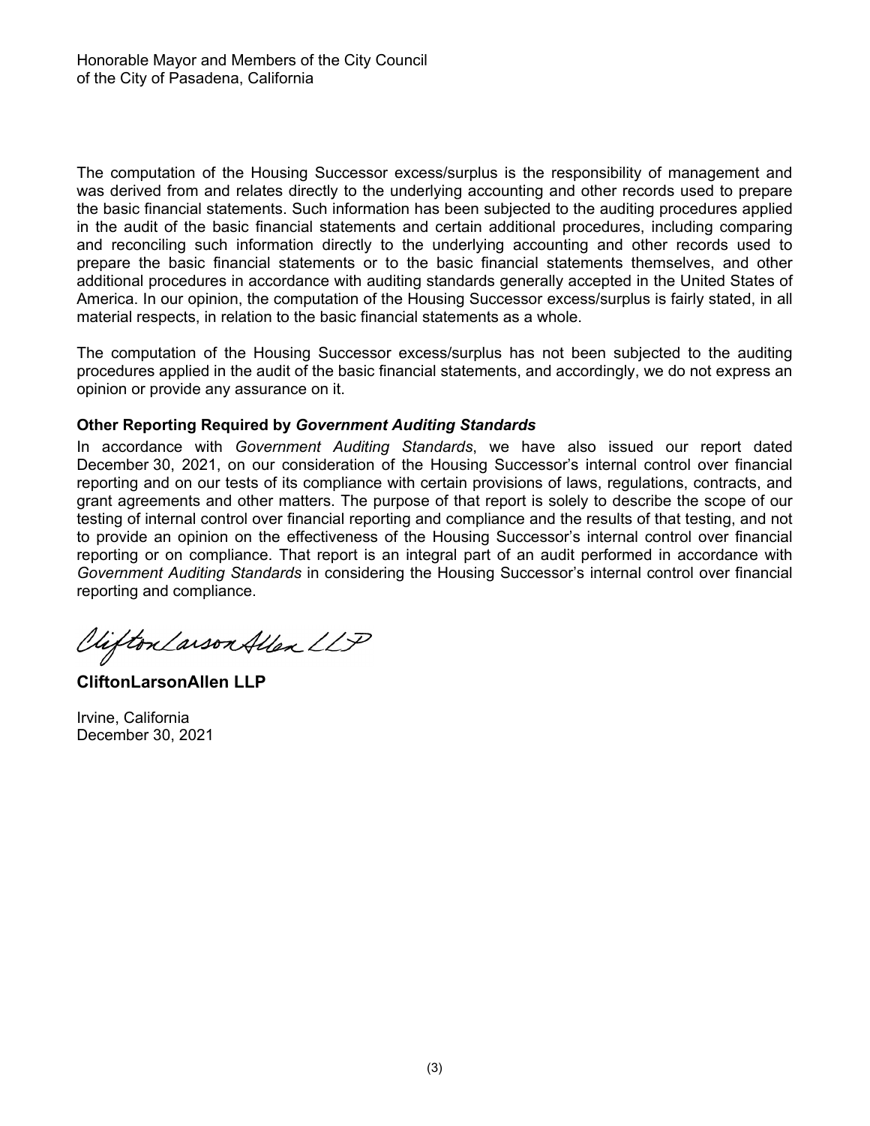The computation of the Housing Successor excess/surplus is the responsibility of management and was derived from and relates directly to the underlying accounting and other records used to prepare the basic financial statements. Such information has been subjected to the auditing procedures applied in the audit of the basic financial statements and certain additional procedures, including comparing and reconciling such information directly to the underlying accounting and other records used to prepare the basic financial statements or to the basic financial statements themselves, and other additional procedures in accordance with auditing standards generally accepted in the United States of America. In our opinion, the computation of the Housing Successor excess/surplus is fairly stated, in all material respects, in relation to the basic financial statements as a whole.

The computation of the Housing Successor excess/surplus has not been subjected to the auditing procedures applied in the audit of the basic financial statements, and accordingly, we do not express an opinion or provide any assurance on it.

# **Other Reporting Required by** *Government Auditing Standards*

In accordance with *Government Auditing Standards*, we have also issued our report dated December 30, 2021, on our consideration of the Housing Successor's internal control over financial reporting and on our tests of its compliance with certain provisions of laws, regulations, contracts, and grant agreements and other matters. The purpose of that report is solely to describe the scope of our testing of internal control over financial reporting and compliance and the results of that testing, and not to provide an opinion on the effectiveness of the Housing Successor's internal control over financial reporting or on compliance. That report is an integral part of an audit performed in accordance with *Government Auditing Standards* in considering the Housing Successor's internal control over financial reporting and compliance.

Viifton Larson Allen LLP

**CliftonLarsonAllen LLP** 

Irvine, California December 30, 2021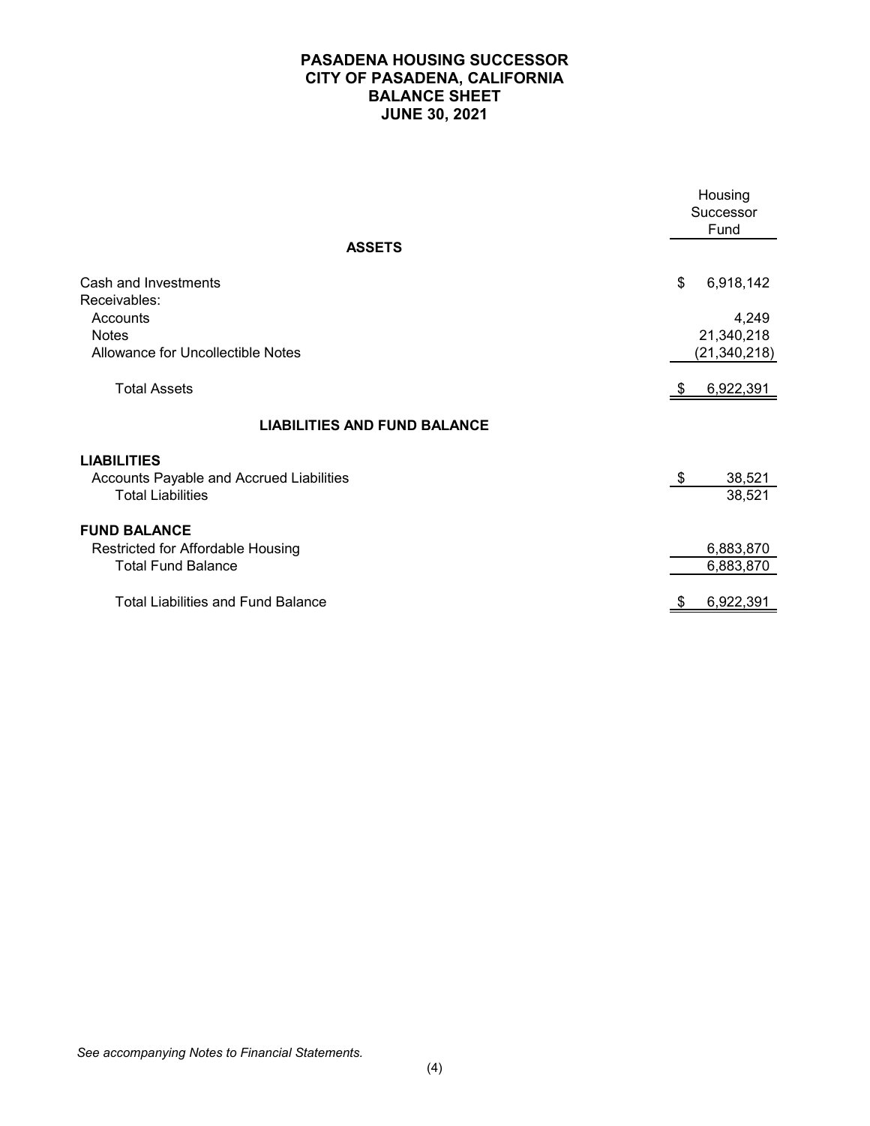# **PASADENA HOUSING SUCCESSOR CITY OF PASADENA, CALIFORNIA BALANCE SHEET JUNE 30, 2021**

|                                                                      | Housing<br>Successor<br>Fund |
|----------------------------------------------------------------------|------------------------------|
| <b>ASSETS</b>                                                        |                              |
| Cash and Investments<br>Receivables:                                 | \$<br>6,918,142              |
| Accounts                                                             | 4,249                        |
| <b>Notes</b>                                                         | 21,340,218                   |
| Allowance for Uncollectible Notes                                    | (21, 340, 218)               |
| <b>Total Assets</b>                                                  | 6,922,391                    |
| <b>LIABILITIES AND FUND BALANCE</b>                                  |                              |
| <b>LIABILITIES</b>                                                   |                              |
| Accounts Payable and Accrued Liabilities<br><b>Total Liabilities</b> | \$<br>38,521<br>38,521       |
| <b>FUND BALANCE</b>                                                  |                              |
| Restricted for Affordable Housing                                    | 6,883,870                    |
| <b>Total Fund Balance</b>                                            | 6,883,870                    |
| <b>Total Liabilities and Fund Balance</b>                            | 6,922,391                    |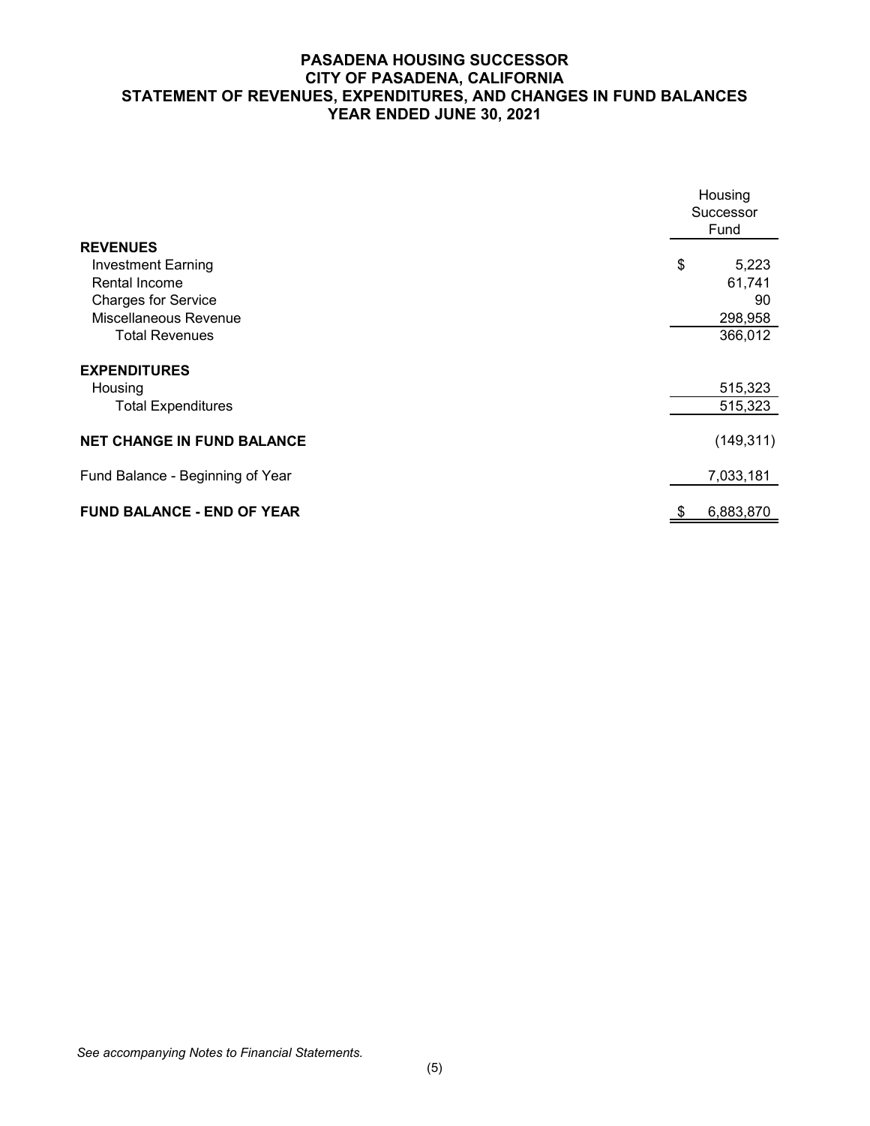# **PASADENA HOUSING SUCCESSOR CITY OF PASADENA, CALIFORNIA STATEMENT OF REVENUES, EXPENDITURES, AND CHANGES IN FUND BALANCES YEAR ENDED JUNE 30, 2021**

|                                   | Housing<br>Successor<br>Fund |    |
|-----------------------------------|------------------------------|----|
| <b>REVENUES</b>                   |                              |    |
| <b>Investment Earning</b>         | \$<br>5,223                  |    |
| Rental Income                     | 61,741                       |    |
| <b>Charges for Service</b>        |                              | 90 |
| Miscellaneous Revenue             | 298,958                      |    |
| <b>Total Revenues</b>             | 366,012                      |    |
| <b>EXPENDITURES</b><br>Housing    | 515,323                      |    |
| <b>Total Expenditures</b>         | 515,323                      |    |
| <b>NET CHANGE IN FUND BALANCE</b> | (149, 311)                   |    |
| Fund Balance - Beginning of Year  | 7,033,181                    |    |
| <b>FUND BALANCE - END OF YEAR</b> | 6,883,870                    |    |
|                                   |                              |    |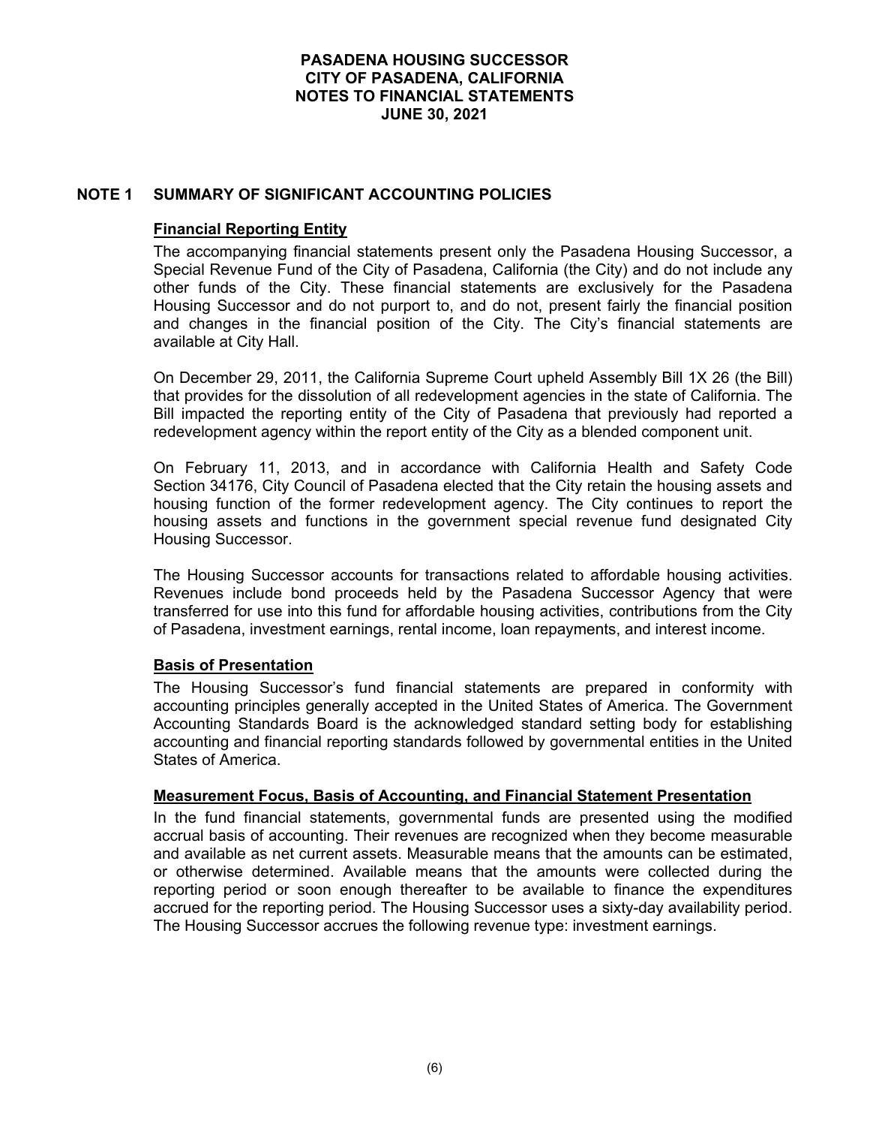## **PASADENA HOUSING SUCCESSOR CITY OF PASADENA, CALIFORNIA NOTES TO FINANCIAL STATEMENTS JUNE 30, 2021**

# **NOTE 1 SUMMARY OF SIGNIFICANT ACCOUNTING POLICIES**

# **Financial Reporting Entity**

The accompanying financial statements present only the Pasadena Housing Successor, a Special Revenue Fund of the City of Pasadena, California (the City) and do not include any other funds of the City. These financial statements are exclusively for the Pasadena Housing Successor and do not purport to, and do not, present fairly the financial position and changes in the financial position of the City. The City's financial statements are available at City Hall.

On December 29, 2011, the California Supreme Court upheld Assembly Bill 1X 26 (the Bill) that provides for the dissolution of all redevelopment agencies in the state of California. The Bill impacted the reporting entity of the City of Pasadena that previously had reported a redevelopment agency within the report entity of the City as a blended component unit.

On February 11, 2013, and in accordance with California Health and Safety Code Section 34176, City Council of Pasadena elected that the City retain the housing assets and housing function of the former redevelopment agency. The City continues to report the housing assets and functions in the government special revenue fund designated City Housing Successor.

The Housing Successor accounts for transactions related to affordable housing activities. Revenues include bond proceeds held by the Pasadena Successor Agency that were transferred for use into this fund for affordable housing activities, contributions from the City of Pasadena, investment earnings, rental income, loan repayments, and interest income.

# **Basis of Presentation**

The Housing Successor's fund financial statements are prepared in conformity with accounting principles generally accepted in the United States of America. The Government Accounting Standards Board is the acknowledged standard setting body for establishing accounting and financial reporting standards followed by governmental entities in the United States of America.

#### **Measurement Focus, Basis of Accounting, and Financial Statement Presentation**

In the fund financial statements, governmental funds are presented using the modified accrual basis of accounting. Their revenues are recognized when they become measurable and available as net current assets. Measurable means that the amounts can be estimated, or otherwise determined. Available means that the amounts were collected during the reporting period or soon enough thereafter to be available to finance the expenditures accrued for the reporting period. The Housing Successor uses a sixty-day availability period. The Housing Successor accrues the following revenue type: investment earnings.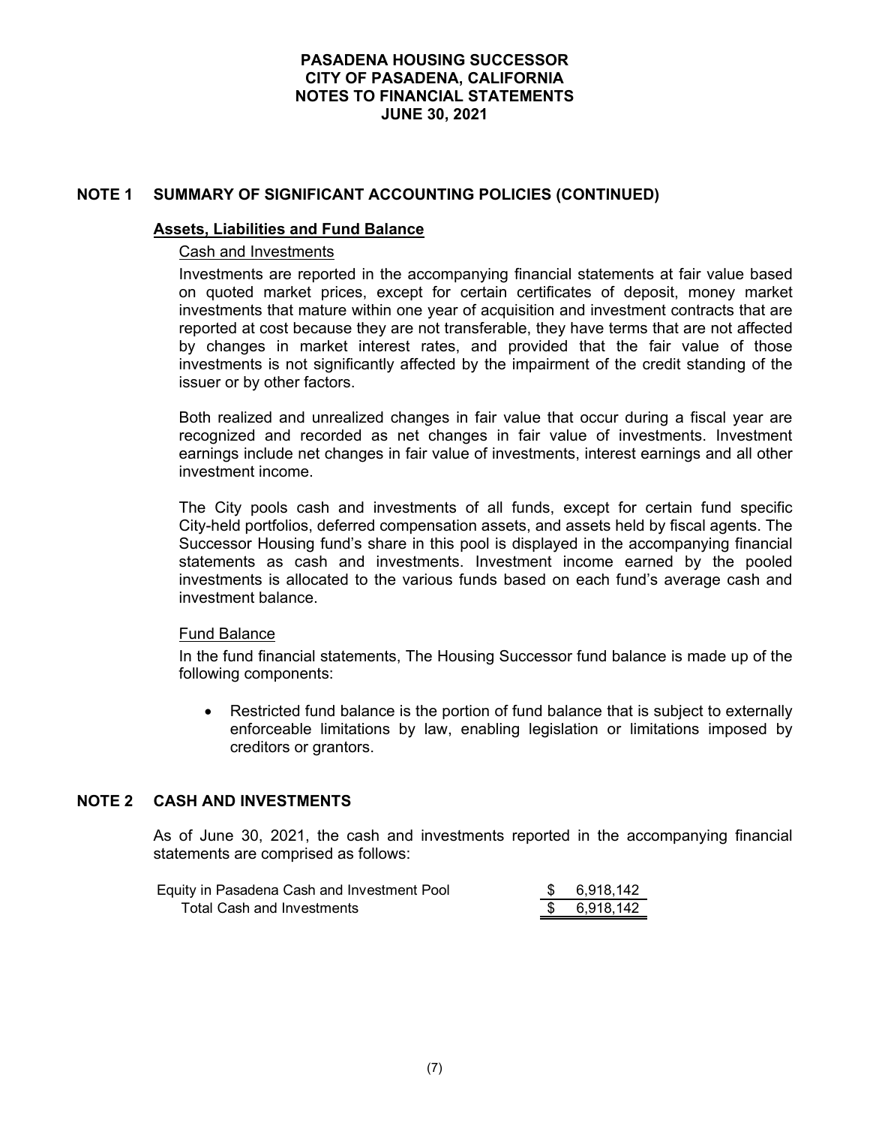## **PASADENA HOUSING SUCCESSOR CITY OF PASADENA, CALIFORNIA NOTES TO FINANCIAL STATEMENTS JUNE 30, 2021**

# **NOTE 1 SUMMARY OF SIGNIFICANT ACCOUNTING POLICIES (CONTINUED)**

## **Assets, Liabilities and Fund Balance**

## Cash and Investments

Investments are reported in the accompanying financial statements at fair value based on quoted market prices, except for certain certificates of deposit, money market investments that mature within one year of acquisition and investment contracts that are reported at cost because they are not transferable, they have terms that are not affected by changes in market interest rates, and provided that the fair value of those investments is not significantly affected by the impairment of the credit standing of the issuer or by other factors.

Both realized and unrealized changes in fair value that occur during a fiscal year are recognized and recorded as net changes in fair value of investments. Investment earnings include net changes in fair value of investments, interest earnings and all other investment income.

The City pools cash and investments of all funds, except for certain fund specific City-held portfolios, deferred compensation assets, and assets held by fiscal agents. The Successor Housing fund's share in this pool is displayed in the accompanying financial statements as cash and investments. Investment income earned by the pooled investments is allocated to the various funds based on each fund's average cash and investment balance.

#### Fund Balance

In the fund financial statements, The Housing Successor fund balance is made up of the following components:

 Restricted fund balance is the portion of fund balance that is subject to externally enforceable limitations by law, enabling legislation or limitations imposed by creditors or grantors.

# **NOTE 2 CASH AND INVESTMENTS**

As of June 30, 2021, the cash and investments reported in the accompanying financial statements are comprised as follows:

| Equity in Pasadena Cash and Investment Pool | \$ 6.918.142 |
|---------------------------------------------|--------------|
| Total Cash and Investments                  | \$ 6,918,142 |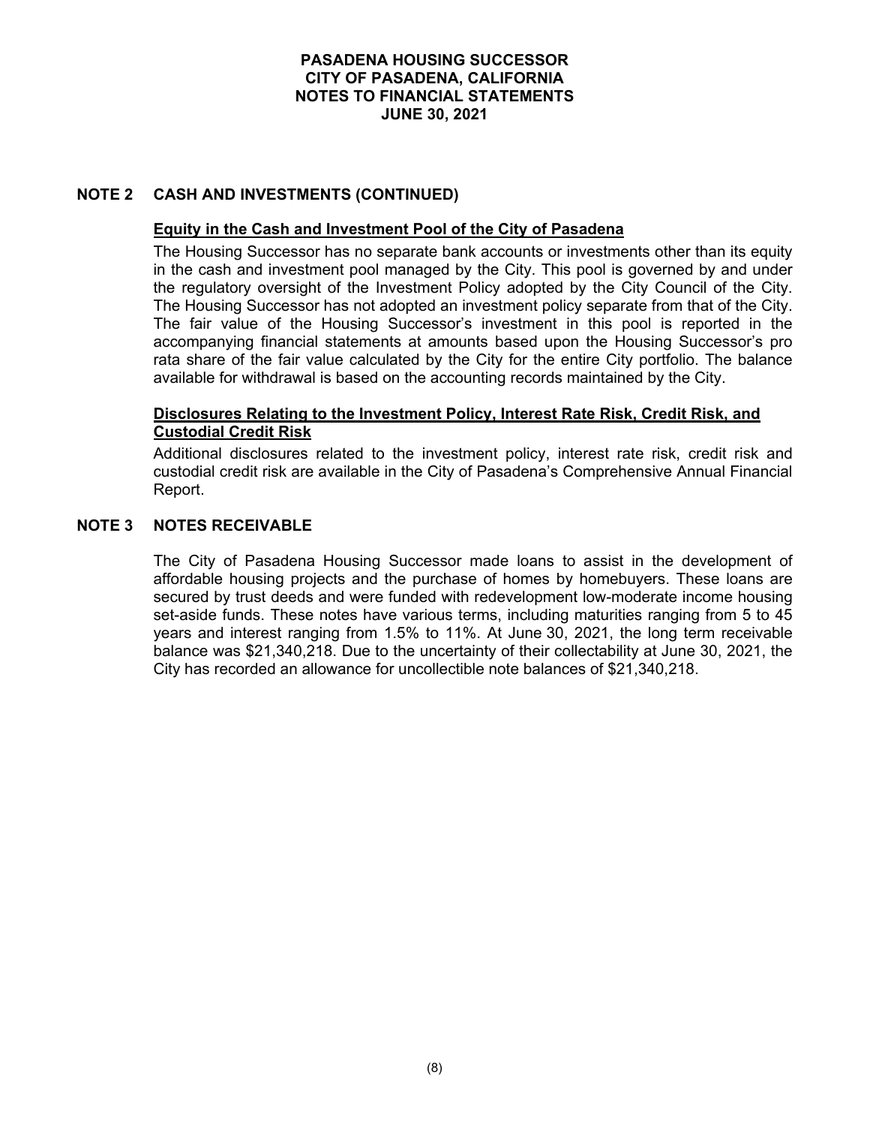## **PASADENA HOUSING SUCCESSOR CITY OF PASADENA, CALIFORNIA NOTES TO FINANCIAL STATEMENTS JUNE 30, 2021**

# **NOTE 2 CASH AND INVESTMENTS (CONTINUED)**

## **Equity in the Cash and Investment Pool of the City of Pasadena**

The Housing Successor has no separate bank accounts or investments other than its equity in the cash and investment pool managed by the City. This pool is governed by and under the regulatory oversight of the Investment Policy adopted by the City Council of the City. The Housing Successor has not adopted an investment policy separate from that of the City. The fair value of the Housing Successor's investment in this pool is reported in the accompanying financial statements at amounts based upon the Housing Successor's pro rata share of the fair value calculated by the City for the entire City portfolio. The balance available for withdrawal is based on the accounting records maintained by the City.

## **Disclosures Relating to the Investment Policy, Interest Rate Risk, Credit Risk, and Custodial Credit Risk**

Additional disclosures related to the investment policy, interest rate risk, credit risk and custodial credit risk are available in the City of Pasadena's Comprehensive Annual Financial Report.

## **NOTE 3 NOTES RECEIVABLE**

The City of Pasadena Housing Successor made loans to assist in the development of affordable housing projects and the purchase of homes by homebuyers. These loans are secured by trust deeds and were funded with redevelopment low-moderate income housing set-aside funds. These notes have various terms, including maturities ranging from 5 to 45 years and interest ranging from 1.5% to 11%. At June 30, 2021, the long term receivable balance was \$21,340,218. Due to the uncertainty of their collectability at June 30, 2021, the City has recorded an allowance for uncollectible note balances of \$21,340,218.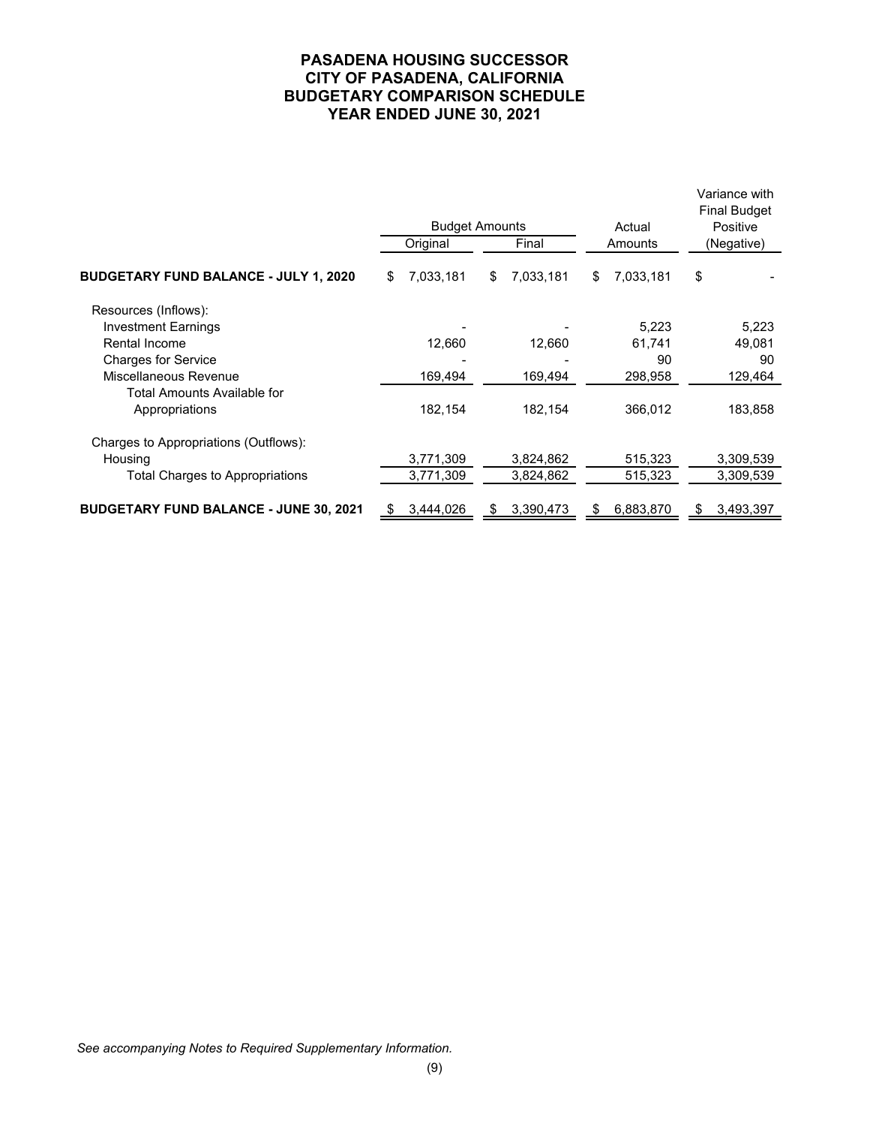# **PASADENA HOUSING SUCCESSOR CITY OF PASADENA, CALIFORNIA BUDGETARY COMPARISON SCHEDULE YEAR ENDED JUNE 30, 2021**

|                                               | <b>Budget Amounts</b><br>Original<br>Final |                | Actual<br>Amounts | Variance with<br><b>Final Budget</b><br>Positive<br>(Negative) |  |
|-----------------------------------------------|--------------------------------------------|----------------|-------------------|----------------------------------------------------------------|--|
| <b>BUDGETARY FUND BALANCE - JULY 1, 2020</b>  | 7,033,181<br>\$.                           | 7,033,181<br>S | 7,033,181<br>S    | \$                                                             |  |
| Resources (Inflows):                          |                                            |                |                   |                                                                |  |
| <b>Investment Earnings</b>                    |                                            |                | 5,223             | 5,223                                                          |  |
| Rental Income                                 | 12,660                                     | 12,660         | 61,741            | 49,081                                                         |  |
| <b>Charges for Service</b>                    |                                            |                | 90                | 90                                                             |  |
| Miscellaneous Revenue                         | 169,494                                    | 169,494        | 298,958           | 129,464                                                        |  |
| Total Amounts Available for                   |                                            |                |                   |                                                                |  |
| Appropriations                                | 182,154                                    | 182,154        | 366,012           | 183,858                                                        |  |
| Charges to Appropriations (Outflows):         |                                            |                |                   |                                                                |  |
| Housing                                       | 3,771,309                                  | 3,824,862      | 515,323           | 3,309,539                                                      |  |
| Total Charges to Appropriations               | 3,771,309                                  | 3,824,862      | 515,323           | 3,309,539                                                      |  |
| <b>BUDGETARY FUND BALANCE - JUNE 30, 2021</b> | 3,444,026<br>\$                            | 3,390,473      | 6,883,870<br>\$   | 3,493,397                                                      |  |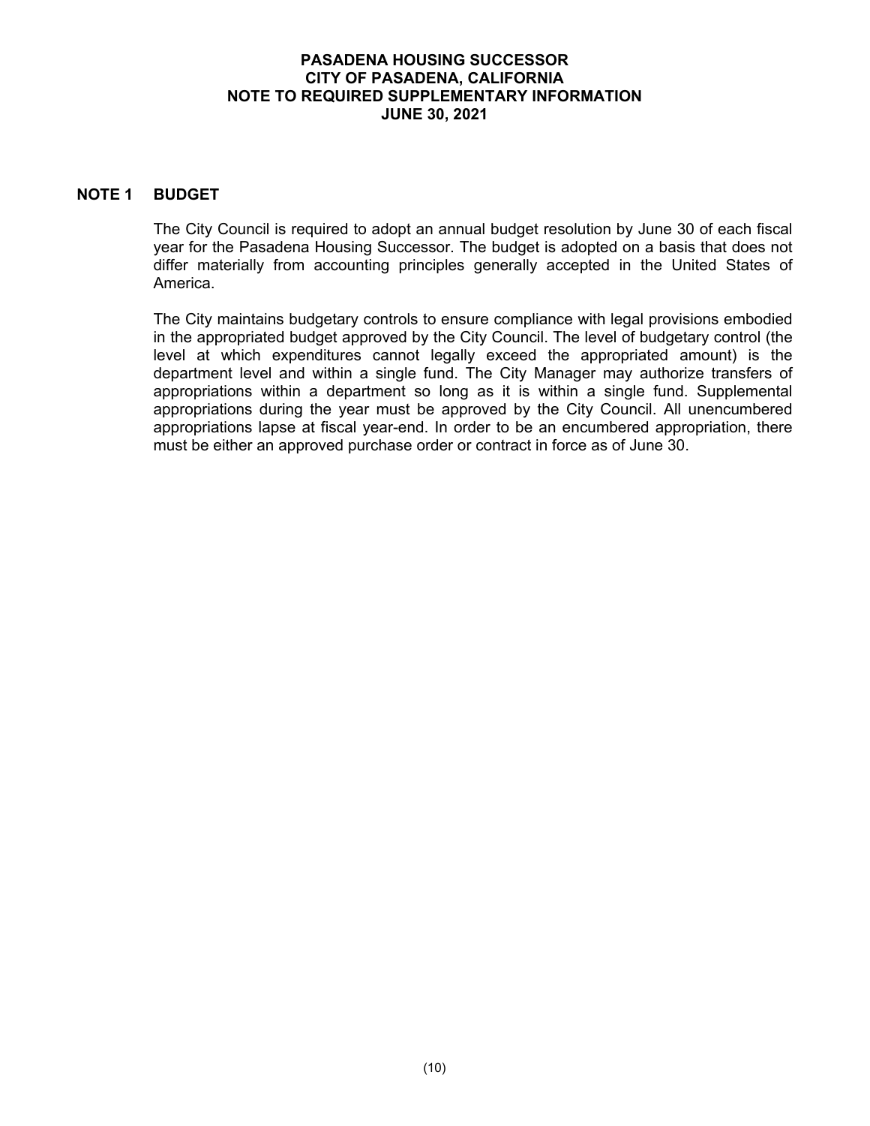## **PASADENA HOUSING SUCCESSOR CITY OF PASADENA, CALIFORNIA NOTE TO REQUIRED SUPPLEMENTARY INFORMATION JUNE 30, 2021**

# **NOTE 1 BUDGET**

The City Council is required to adopt an annual budget resolution by June 30 of each fiscal year for the Pasadena Housing Successor. The budget is adopted on a basis that does not differ materially from accounting principles generally accepted in the United States of America.

The City maintains budgetary controls to ensure compliance with legal provisions embodied in the appropriated budget approved by the City Council. The level of budgetary control (the level at which expenditures cannot legally exceed the appropriated amount) is the department level and within a single fund. The City Manager may authorize transfers of appropriations within a department so long as it is within a single fund. Supplemental appropriations during the year must be approved by the City Council. All unencumbered appropriations lapse at fiscal year-end. In order to be an encumbered appropriation, there must be either an approved purchase order or contract in force as of June 30.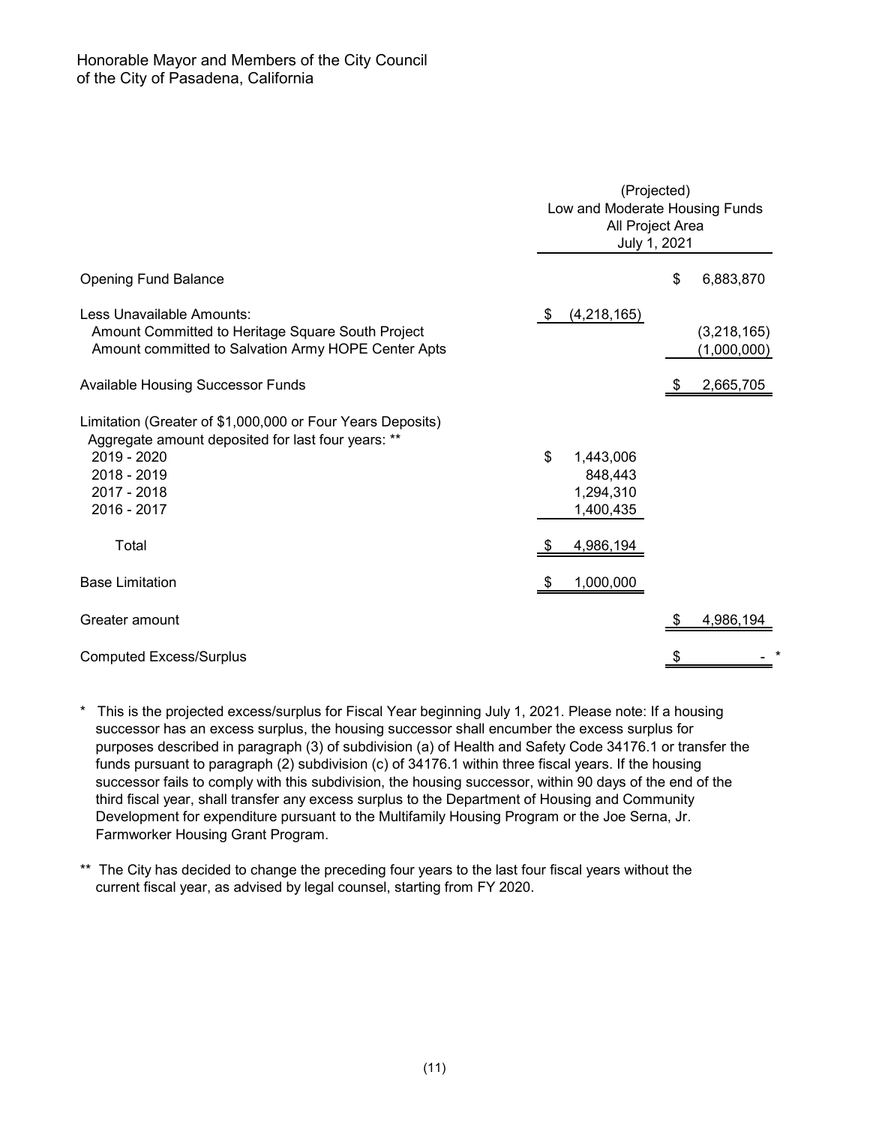|                                                                                                                                                                                       | (Projected)<br>Low and Moderate Housing Funds<br>All Project Area<br>July 1, 2021 |  |
|---------------------------------------------------------------------------------------------------------------------------------------------------------------------------------------|-----------------------------------------------------------------------------------|--|
| <b>Opening Fund Balance</b>                                                                                                                                                           | \$<br>6,883,870                                                                   |  |
| Less Unavailable Amounts:<br>Amount Committed to Heritage Square South Project<br>Amount committed to Salvation Army HOPE Center Apts                                                 | (4,218,165)<br>- \$<br>(3, 218, 165)<br>(1,000,000)                               |  |
| <b>Available Housing Successor Funds</b>                                                                                                                                              | 2,665,705                                                                         |  |
| Limitation (Greater of \$1,000,000 or Four Years Deposits)<br>Aggregate amount deposited for last four years: **<br>2019 - 2020<br>2018 - 2019<br>2017 - 2018<br>2016 - 2017<br>Total | \$<br>1,443,006<br>848,443<br>1,294,310<br>1,400,435<br>4,986,194                 |  |
| <b>Base Limitation</b>                                                                                                                                                                | 1,000,000                                                                         |  |
| Greater amount                                                                                                                                                                        | 4,986,194                                                                         |  |
| <b>Computed Excess/Surplus</b>                                                                                                                                                        |                                                                                   |  |

- This is the projected excess/surplus for Fiscal Year beginning July 1, 2021. Please note: If a housing successor has an excess surplus, the housing successor shall encumber the excess surplus for purposes described in paragraph (3) of subdivision (a) of Health and Safety Code 34176.1 or transfer the funds pursuant to paragraph (2) subdivision (c) of 34176.1 within three fiscal years. If the housing successor fails to comply with this subdivision, the housing successor, within 90 days of the end of the third fiscal year, shall transfer any excess surplus to the Department of Housing and Community Development for expenditure pursuant to the Multifamily Housing Program or the Joe Serna, Jr. Farmworker Housing Grant Program.
- \*\* The City has decided to change the preceding four years to the last four fiscal years without the current fiscal year, as advised by legal counsel, starting from FY 2020.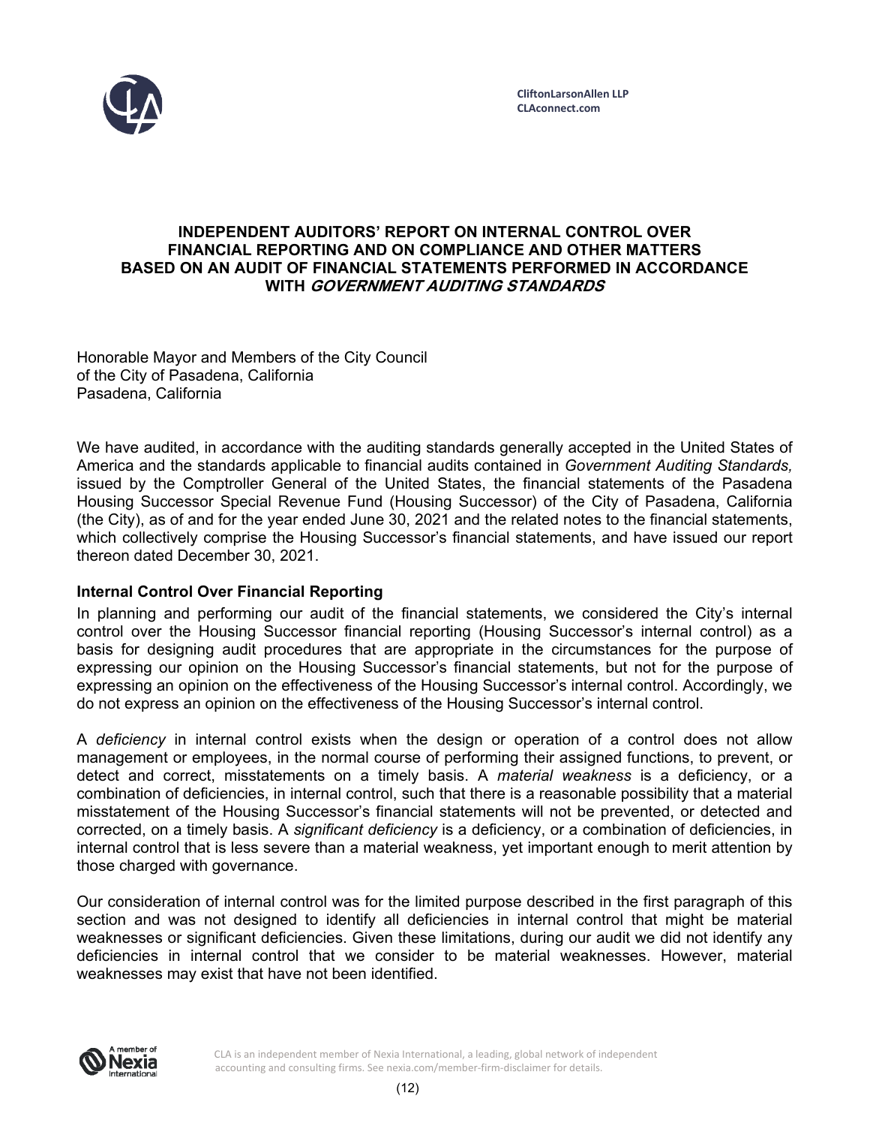

## **INDEPENDENT AUDITORS' REPORT ON INTERNAL CONTROL OVER FINANCIAL REPORTING AND ON COMPLIANCE AND OTHER MATTERS BASED ON AN AUDIT OF FINANCIAL STATEMENTS PERFORMED IN ACCORDANCE WITH GOVERNMENT AUDITING STANDARDS**

Honorable Mayor and Members of the City Council of the City of Pasadena, California Pasadena, California

We have audited, in accordance with the auditing standards generally accepted in the United States of America and the standards applicable to financial audits contained in *Government Auditing Standards,*  issued by the Comptroller General of the United States, the financial statements of the Pasadena Housing Successor Special Revenue Fund (Housing Successor) of the City of Pasadena, California (the City), as of and for the year ended June 30, 2021 and the related notes to the financial statements, which collectively comprise the Housing Successor's financial statements, and have issued our report thereon dated December 30, 2021.

# **Internal Control Over Financial Reporting**

In planning and performing our audit of the financial statements, we considered the City's internal control over the Housing Successor financial reporting (Housing Successor's internal control) as a basis for designing audit procedures that are appropriate in the circumstances for the purpose of expressing our opinion on the Housing Successor's financial statements, but not for the purpose of expressing an opinion on the effectiveness of the Housing Successor's internal control. Accordingly, we do not express an opinion on the effectiveness of the Housing Successor's internal control.

A *deficiency* in internal control exists when the design or operation of a control does not allow management or employees, in the normal course of performing their assigned functions, to prevent, or detect and correct, misstatements on a timely basis. A *material weakness* is a deficiency, or a combination of deficiencies, in internal control, such that there is a reasonable possibility that a material misstatement of the Housing Successor's financial statements will not be prevented, or detected and corrected, on a timely basis. A *significant deficiency* is a deficiency, or a combination of deficiencies, in internal control that is less severe than a material weakness, yet important enough to merit attention by those charged with governance.

Our consideration of internal control was for the limited purpose described in the first paragraph of this section and was not designed to identify all deficiencies in internal control that might be material weaknesses or significant deficiencies. Given these limitations, during our audit we did not identify any deficiencies in internal control that we consider to be material weaknesses. However, material weaknesses may exist that have not been identified.



CLA is an independent member of Nexia International, a leading, global network of independent accounting and consulting firms. See nexia.com/member‐firm‐disclaimer for details.